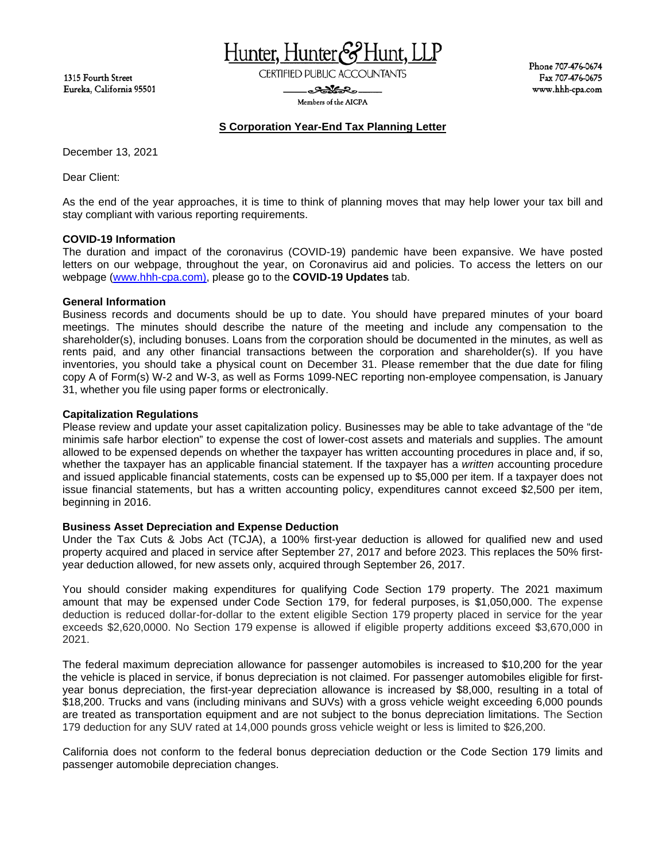1315 Fourth Street Eureka, California 95501 Hunter, Hunter&

**CERTIFIED PUBLIC ACCOUNTANTS** 

<del>ಿಂ</del>ಯೋತಿಂ-Members of the AICPA Phone 707-476-0674 Fax 707-476-0675 www.hhh-cpa.com

# **S Corporation Year-End Tax Planning Letter**

December 13, 2021

Dear Client:

As the end of the year approaches, it is time to think of planning moves that may help lower your tax bill and stay compliant with various reporting requirements.

### **COVID-19 Information**

The duration and impact of the coronavirus (COVID-19) pandemic have been expansive. We have posted letters on our webpage, throughout the year, on Coronavirus aid and policies. To access the letters on our webpage [\(www.hhh-cpa.com\)](http://www.hhh-cpa.com/), please go to the **COVID-19 Updates** tab.

#### **General Information**

Business records and documents should be up to date. You should have prepared minutes of your board meetings. The minutes should describe the nature of the meeting and include any compensation to the shareholder(s), including bonuses. Loans from the corporation should be documented in the minutes, as well as rents paid, and any other financial transactions between the corporation and shareholder(s). If you have inventories, you should take a physical count on December 31. Please remember that the due date for filing copy A of Form(s) W-2 and W-3, as well as Forms 1099-NEC reporting non-employee compensation, is January 31, whether you file using paper forms or electronically.

## **Capitalization Regulations**

Please review and update your asset capitalization policy. Businesses may be able to take advantage of the "de minimis safe harbor election" to expense the cost of lower-cost assets and materials and supplies. The amount allowed to be expensed depends on whether the taxpayer has written accounting procedures in place and, if so, whether the taxpayer has an applicable financial statement. If the taxpayer has a *written* accounting procedure and issued applicable financial statements, costs can be expensed up to \$5,000 per item. If a taxpayer does not issue financial statements, but has a written accounting policy, expenditures cannot exceed \$2,500 per item, beginning in 2016.

# **Business Asset Depreciation and Expense Deduction**

Under the Tax Cuts & Jobs Act (TCJA), a 100% first-year deduction is allowed for qualified new and used property acquired and placed in service after September 27, 2017 and before 2023. This replaces the 50% firstyear deduction allowed, for new assets only, acquired through September 26, 2017.

You should consider making expenditures for qualifying Code Section 179 property. The 2021 maximum amount that may be expensed under [Code Section](https://riacheckpoint.com/app/main/docLinkNew?DocID=i94e7e2c219d711dcb1a9c7f8ee2eaa77&SrcDocId=T0NLANA%3A11789.31-1&feature=ttoc&lastCpReqId=c0f0bb) 179, for federal purposes, is \$1,050,000. The expense deduction is reduced dollar-for-dollar to the extent eligible Section 179 property placed in service for the year exceeds \$2,620,0000. No Section 179 expense is allowed if eligible property additions exceed \$3,670,000 in 2021.

The federal maximum depreciation allowance for passenger automobiles is increased to \$10,200 for the year the vehicle is placed in service, if bonus depreciation is not claimed. For passenger automobiles eligible for firstyear bonus depreciation, the first-year depreciation allowance is increased by \$8,000, resulting in a total of \$18,200. Trucks and vans (including minivans and SUVs) with a gross vehicle weight exceeding 6,000 pounds are treated as transportation equipment and are not subject to the bonus depreciation limitations. The Section 179 deduction for any SUV rated at 14,000 pounds gross vehicle weight or less is limited to \$26,200.

California does not conform to the federal bonus depreciation deduction or the Code Section 179 limits and passenger automobile depreciation changes.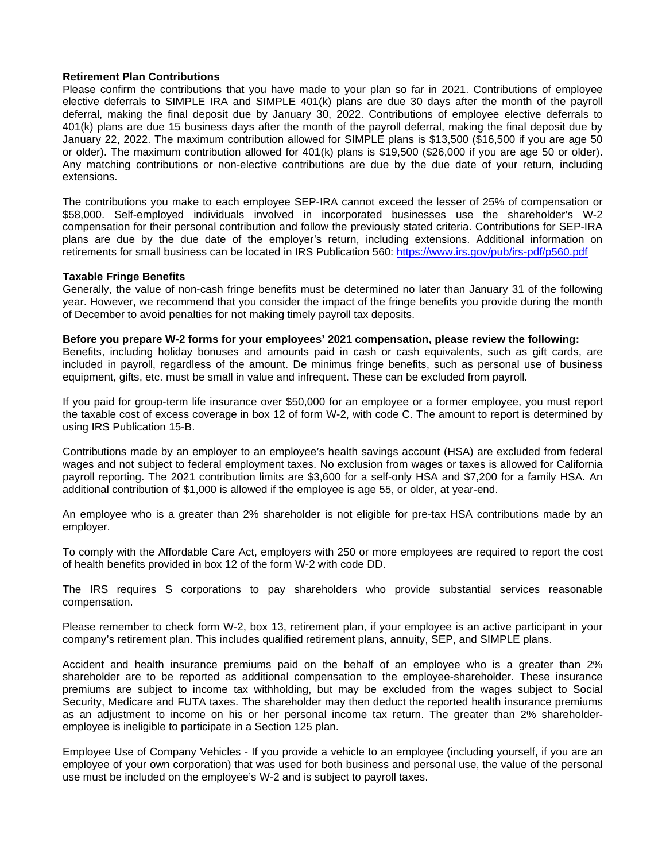#### **Retirement Plan Contributions**

Please confirm the contributions that you have made to your plan so far in 2021. Contributions of employee elective deferrals to SIMPLE IRA and SIMPLE 401(k) plans are due 30 days after the month of the payroll deferral, making the final deposit due by January 30, 2022. Contributions of employee elective deferrals to 401(k) plans are due 15 business days after the month of the payroll deferral, making the final deposit due by January 22, 2022. The maximum contribution allowed for SIMPLE plans is \$13,500 (\$16,500 if you are age 50 or older). The maximum contribution allowed for 401(k) plans is \$19,500 (\$26,000 if you are age 50 or older). Any matching contributions or non-elective contributions are due by the due date of your return, including extensions.

The contributions you make to each employee SEP-IRA cannot exceed the lesser of 25% of compensation or \$58,000. Self-employed individuals involved in incorporated businesses use the shareholder's W-2 compensation for their personal contribution and follow the previously stated criteria. Contributions for SEP-IRA plans are due by the due date of the employer's return, including extensions. Additional information on retirements for small business can be located in IRS Publication 560:<https://www.irs.gov/pub/irs-pdf/p560.pdf>

### **Taxable Fringe Benefits**

Generally, the value of non-cash fringe benefits must be determined no later than January 31 of the following year. However, we recommend that you consider the impact of the fringe benefits you provide during the month of December to avoid penalties for not making timely payroll tax deposits.

## **Before you prepare W-2 forms for your employees' 2021 compensation, please review the following:**

Benefits, including holiday bonuses and amounts paid in cash or cash equivalents, such as gift cards, are included in payroll, regardless of the amount. De minimus fringe benefits, such as personal use of business equipment, gifts, etc. must be small in value and infrequent. These can be excluded from payroll.

If you paid for group-term life insurance over \$50,000 for an employee or a former employee, you must report the taxable cost of excess coverage in box 12 of form W-2, with code C. The amount to report is determined by using IRS Publication 15-B.

Contributions made by an employer to an employee's health savings account (HSA) are excluded from federal wages and not subject to federal employment taxes. No exclusion from wages or taxes is allowed for California payroll reporting. The 2021 contribution limits are \$3,600 for a self-only HSA and \$7,200 for a family HSA. An additional contribution of \$1,000 is allowed if the employee is age 55, or older, at year-end.

An employee who is a greater than 2% shareholder is not eligible for pre-tax HSA contributions made by an employer.

To comply with the Affordable Care Act, employers with 250 or more employees are required to report the cost of health benefits provided in box 12 of the form W-2 with code DD.

The IRS requires S corporations to pay shareholders who provide substantial services reasonable compensation.

Please remember to check form W-2, box 13, retirement plan, if your employee is an active participant in your company's retirement plan. This includes qualified retirement plans, annuity, SEP, and SIMPLE plans.

Accident and health insurance premiums paid on the behalf of an employee who is a greater than 2% shareholder are to be reported as additional compensation to the employee-shareholder. These insurance premiums are subject to income tax withholding, but may be excluded from the wages subject to Social Security, Medicare and FUTA taxes. The shareholder may then deduct the reported health insurance premiums as an adjustment to income on his or her personal income tax return. The greater than 2% shareholderemployee is ineligible to participate in a Section 125 plan.

Employee Use of Company Vehicles - If you provide a vehicle to an employee (including yourself, if you are an employee of your own corporation) that was used for both business and personal use, the value of the personal use must be included on the employee's W-2 and is subject to payroll taxes.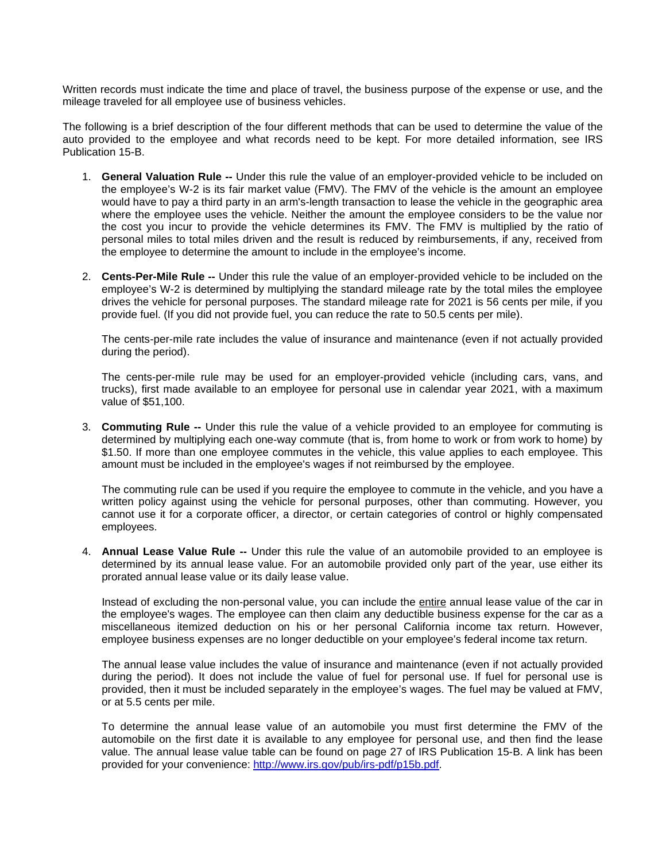Written records must indicate the time and place of travel, the business purpose of the expense or use, and the mileage traveled for all employee use of business vehicles.

The following is a brief description of the four different methods that can be used to determine the value of the auto provided to the employee and what records need to be kept. For more detailed information, see IRS Publication 15-B.

- 1. **General Valuation Rule --** Under this rule the value of an employer-provided vehicle to be included on the employee's W-2 is its fair market value (FMV). The FMV of the vehicle is the amount an employee would have to pay a third party in an arm's-length transaction to lease the vehicle in the geographic area where the employee uses the vehicle. Neither the amount the employee considers to be the value nor the cost you incur to provide the vehicle determines its FMV. The FMV is multiplied by the ratio of personal miles to total miles driven and the result is reduced by reimbursements, if any, received from the employee to determine the amount to include in the employee's income.
- 2. **Cents-Per-Mile Rule --** Under this rule the value of an employer-provided vehicle to be included on the employee's W-2 is determined by multiplying the standard mileage rate by the total miles the employee drives the vehicle for personal purposes. The standard mileage rate for 2021 is 56 cents per mile, if you provide fuel. (If you did not provide fuel, you can reduce the rate to 50.5 cents per mile).

The cents-per-mile rate includes the value of insurance and maintenance (even if not actually provided during the period).

The cents-per-mile rule may be used for an employer-provided vehicle (including cars, vans, and trucks), first made available to an employee for personal use in calendar year 2021, with a maximum value of \$51,100.

3. **Commuting Rule --** Under this rule the value of a vehicle provided to an employee for commuting is determined by multiplying each one-way commute (that is, from home to work or from work to home) by \$1.50. If more than one employee commutes in the vehicle, this value applies to each employee. This amount must be included in the employee's wages if not reimbursed by the employee.

The commuting rule can be used if you require the employee to commute in the vehicle, and you have a written policy against using the vehicle for personal purposes, other than commuting. However, you cannot use it for a corporate officer, a director, or certain categories of control or highly compensated employees.

4. **Annual Lease Value Rule --** Under this rule the value of an automobile provided to an employee is determined by its annual lease value. For an automobile provided only part of the year, use either its prorated annual lease value or its daily lease value.

Instead of excluding the non-personal value, you can include the entire annual lease value of the car in the employee's wages. The employee can then claim any deductible business expense for the car as a miscellaneous itemized deduction on his or her personal California income tax return. However, employee business expenses are no longer deductible on your employee's federal income tax return.

The annual lease value includes the value of insurance and maintenance (even if not actually provided during the period). It does not include the value of fuel for personal use. If fuel for personal use is provided, then it must be included separately in the employee's wages. The fuel may be valued at FMV, or at 5.5 cents per mile.

To determine the annual lease value of an automobile you must first determine the FMV of the automobile on the first date it is available to any employee for personal use, and then find the lease value. The annual lease value table can be found on page 27 of IRS Publication 15-B. A link has been provided for your convenience: [http://www.irs.gov/pub/irs-pdf/p15b.pdf.](http://www.irs.gov/pub/irs-pdf/p15b.pdf)